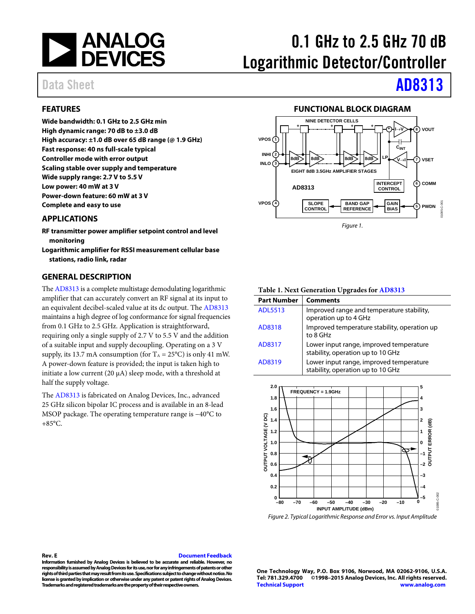

# 0.1 GHz to 2.5 GHz 70 dB Logarithmic Detector/Controller

# Data Sheet **[AD8313](http://www.analog.com/AD8313?doc=AD8313.pdf)**

### <span id="page-0-0"></span>**FEATURES**

**Wide bandwidth: 0.1 GHz to 2.5 GHz min High dynamic range: 70 dB to ±3.0 dB High accuracy: ±1.0 dB over 65 dB range (@ 1.9 GHz) Fast response: 40 ns full-scale typical Controller mode with error output Scaling stable over supply and temperature Wide supply range: 2.7 V to 5.5 V Low power: 40 mW at 3 V Power-down feature: 60 mW at 3 V Complete and easy to use**

#### <span id="page-0-1"></span>**APPLICATIONS**

- **RF transmitter power amplifier setpoint control and level monitoring**
- **Logarithmic amplifier for RSSI measurement cellular base stations, radio link, radar**

#### <span id="page-0-3"></span>**GENERAL DESCRIPTION**

Th[e AD8313](http://www.analog.com/AD8313?doc=AD8313.pdf) is a complete multistage demodulating logarithmic amplifier that can accurately convert an RF signal at its input to an equivalent decibel-scaled value at its dc output. Th[e AD8313](http://www.analog.com/AD8313?doc=AD8313.pdf) maintains a high degree of log conformance for signal frequencies from 0.1 GHz to 2.5 GHz. Application is straightforward, requiring only a single supply of 2.7 V to 5.5 V and the addition of a suitable input and supply decoupling. Operating on a 3 V supply, its 13.7 mA consumption (for  $T_A = 25^{\circ}C$ ) is only 41 mW. A power-down feature is provided; the input is taken high to initiate a low current (20  $\mu$ A) sleep mode, with a threshold at half the supply voltage.

The [AD8313](http://www.analog.com/AD8313?doc=AD8313.pdf) is fabricated on Analog Devices, Inc., advanced 25 GHz silicon bipolar IC process and is available in an 8-lead MSOP package. The operating temperature range is −40°C to  $+85^{\circ}$ C.

#### **FUNCTIONAL BLOCK DIAGRAM**

<span id="page-0-2"></span>

#### **Table 1. Next Generation Upgrades for [AD8313](http://www.analog.com/AD8313?doc=AD8313.pdf)**

| <b>Part Number</b> | <b>Comments</b>                                                              |
|--------------------|------------------------------------------------------------------------------|
| <b>ADL5513</b>     | Improved range and temperature stability,<br>operation up to 4 GHz           |
| AD8318             | Improved temperature stability, operation up<br>to 8 GHz                     |
| AD8317             | Lower input range, improved temperature<br>stability, operation up to 10 GHz |
| AD8319             | Lower input range, improved temperature<br>stability, operation up to 10 GHz |



*Figure 2. Typical Logarithmic Response and Error vs. Input Amplitude*

#### **Rev. E [Document Feedback](https://form.analog.com/Form_Pages/feedback/documentfeedback.aspx?doc=AD8313.pdf&product=AD8313&rev=E)**

**Information furnished by Analog Devices is believed to be accurate and reliable. However, no responsibility is assumed by Analog Devices for its use, nor for any infringements of patents or other rights of third parties that may result from its use. Specifications subject to change without notice. No license is granted by implication or otherwise under any patent or patent rights of Analog Devices. Trademarks and registered trademarks are the property of their respective owners.**

**One Technology Way, P.O. Box 9106, Norwood, MA 02062-9106, U.S.A. Tel: 781.329.4700 ©1998–2015 Analog Devices, Inc. All rights reserved. [Technical Support](http://www.analog.com/en/content/technical_support_page/fca.html) [www.analog.com](http://www.analog.com/)**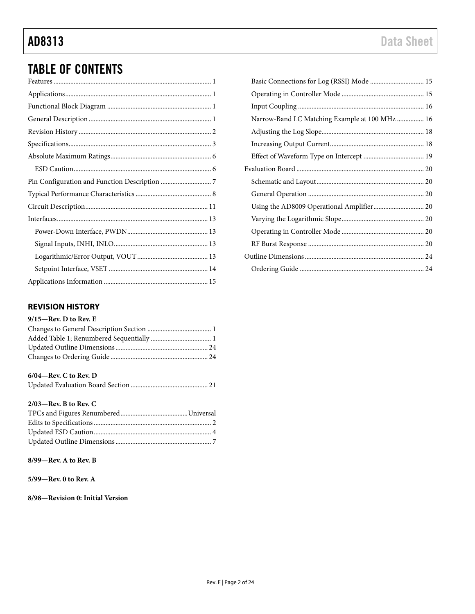# TABLE OF CONTENTS

### <span id="page-1-0"></span>**REVISION HISTORY**

#### **9/15—Rev. D to Rev. E**

### **6/04—Rev. C to Rev. D**

|--|--|--|

#### **2/03—Rev. B to Rev. C**

#### **8/99—Rev. A to Rev. B**

**5/99—Rev. 0 to Rev. A**

**8/98—Revision 0: Initial Version**

| Basic Connections for Log (RSSI) Mode  15      |  |
|------------------------------------------------|--|
|                                                |  |
|                                                |  |
| Narrow-Band LC Matching Example at 100 MHz  16 |  |
|                                                |  |
|                                                |  |
|                                                |  |
|                                                |  |
|                                                |  |
|                                                |  |
| Using the AD8009 Operational Amplifier 20      |  |
|                                                |  |
|                                                |  |
|                                                |  |
|                                                |  |
|                                                |  |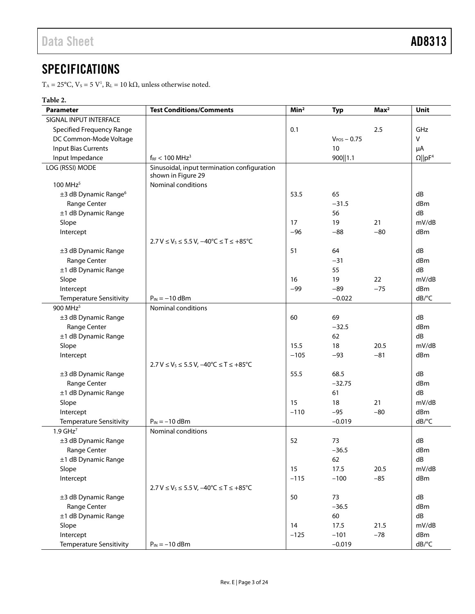# <span id="page-2-0"></span>**SPECIFICATIONS**

 $T_A = 25^{\circ}$ C,  $V_s = 5 V^1$ ,  $R_L = 10 k\Omega$ , unless otherwise noted.

### **Table 2.**

| <b>Parameter</b>                 | <b>Test Conditions/Comments</b>                   | Min <sup>2</sup> | <b>Typ</b>       | Max <sup>2</sup> | Unit                       |
|----------------------------------|---------------------------------------------------|------------------|------------------|------------------|----------------------------|
| SIGNAL INPUT INTERFACE           |                                                   |                  |                  |                  |                            |
| <b>Specified Frequency Range</b> |                                                   |                  |                  | 2.5              | GHz                        |
| DC Common-Mode Voltage           |                                                   |                  | $V_{POS}$ - 0.75 |                  | $\mathsf{V}$               |
| <b>Input Bias Currents</b>       |                                                   |                  | 10               |                  | μA                         |
| Input Impedance                  | $f_{RF}$ < 100 MHz <sup>3</sup>                   |                  | 900  1.1         |                  | $\Omega$   pF <sup>4</sup> |
| LOG (RSSI) MODE                  | Sinusoidal, input termination configuration       |                  |                  |                  |                            |
|                                  | shown in Figure 29                                |                  |                  |                  |                            |
| 100 MHz <sup>5</sup>             | Nominal conditions                                |                  |                  |                  |                            |
| ±3 dB Dynamic Range <sup>6</sup> |                                                   | 53.5             | 65               |                  | dB                         |
| Range Center                     |                                                   |                  | $-31.5$          |                  | dBm                        |
| ±1 dB Dynamic Range              |                                                   |                  | 56               |                  | dB                         |
| Slope                            |                                                   | 17               | 19               | 21               | mV/dB                      |
| Intercept                        |                                                   | $-96$            | $-88$            | $-80$            | dBm                        |
|                                  | $2.7 V ≤ VS ≤ 5.5 V, -40°C ≤ T ≤ +85°C$           |                  |                  |                  |                            |
| $\pm$ 3 dB Dynamic Range         |                                                   | 51               | 64               |                  | dB                         |
| Range Center                     |                                                   |                  | $-31$            |                  | dBm                        |
| ±1 dB Dynamic Range              |                                                   |                  | 55               |                  | dB                         |
| Slope                            |                                                   | 16               | 19               | 22               | mV/dB                      |
| Intercept                        |                                                   | $-99$            | $-89$            | $-75$            | dBm                        |
| <b>Temperature Sensitivity</b>   | $P_{IN} = -10$ dBm                                |                  | $-0.022$         |                  | $dB$ <sup>o</sup> $C$      |
| 900 MHz <sup>5</sup>             | Nominal conditions                                |                  |                  |                  |                            |
| ±3 dB Dynamic Range              |                                                   | 60               | 69               |                  | dB                         |
| Range Center                     |                                                   |                  | $-32.5$          |                  | dBm                        |
| ±1 dB Dynamic Range              |                                                   |                  | 62               |                  | dB                         |
| Slope                            |                                                   | 15.5             | 18               | 20.5             | mV/dB                      |
| Intercept                        |                                                   | $-105$           | $-93$            | $-81$            | dBm                        |
|                                  | 2.7 V ≤ V <sub>s</sub> ≤ 5.5 V, -40°C ≤ T ≤ +85°C |                  |                  |                  |                            |
| ±3 dB Dynamic Range              |                                                   | 55.5             | 68.5             |                  | dB                         |
| Range Center                     |                                                   |                  | $-32.75$         |                  | dBm                        |
| ±1 dB Dynamic Range              |                                                   |                  | 61               |                  | dB                         |
| Slope                            |                                                   | 15               | 18               | 21               | mV/dB                      |
| Intercept                        |                                                   | $-110$           | $-95$            | $-80$            | dBm                        |
| Temperature Sensitivity          | $P_{IN} = -10$ dBm                                |                  | $-0.019$         |                  | dB/°C                      |
| $1.9$ GHz <sup>7</sup>           | Nominal conditions                                |                  |                  |                  |                            |
| ±3 dB Dynamic Range              |                                                   | 52               | 73               |                  | dB                         |
| Range Center                     |                                                   |                  | $-36.5$          |                  | dBm                        |
| ±1 dB Dynamic Range              |                                                   |                  | 62               |                  | dB                         |
| Slope                            |                                                   | 15               | 17.5             | 20.5             | mV/dB                      |
| Intercept                        |                                                   | $-115$           | $-100$           | $-85$            | dBm                        |
|                                  | $2.7 V ≤ VS ≤ 5.5 V, -40°C ≤ T ≤ +85°C$           |                  |                  |                  |                            |
| ±3 dB Dynamic Range              |                                                   | 50               | 73               |                  | dB                         |
| Range Center                     |                                                   |                  | $-36.5$          |                  | dBm                        |
| ±1 dB Dynamic Range              |                                                   |                  | 60               |                  | dB                         |
| Slope                            |                                                   | 14               | 17.5             | 21.5             | mV/dB                      |
| Intercept                        |                                                   | $-125$           | $-101$           | $-78$            | dBm                        |
| <b>Temperature Sensitivity</b>   | $P_{IN} = -10$ dBm                                |                  | $-0.019$         |                  | dB/°C                      |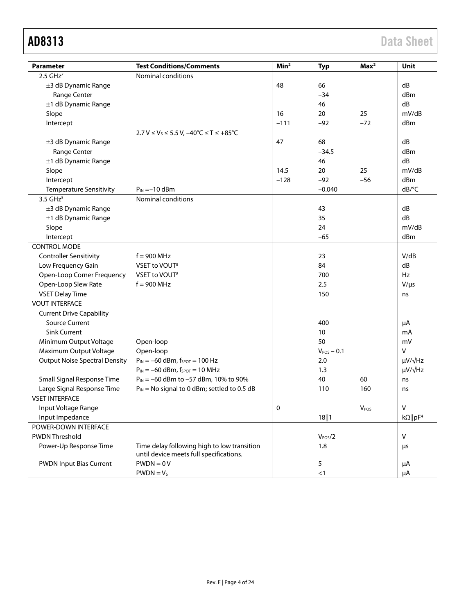| <b>Parameter</b>                     | <b>Test Conditions/Comments</b>                                  | Min <sup>2</sup> | <b>Typ</b>          | Max <sup>2</sup>            | <b>Unit</b>         |
|--------------------------------------|------------------------------------------------------------------|------------------|---------------------|-----------------------------|---------------------|
| $2.5$ GHz <sup>7</sup>               | Nominal conditions                                               |                  |                     |                             |                     |
| ±3 dB Dynamic Range                  |                                                                  | 48               | 66                  |                             | dB                  |
| Range Center                         |                                                                  |                  | $-34$               |                             | dBm                 |
| ±1 dB Dynamic Range                  |                                                                  | 46               |                     |                             | dB                  |
| Slope                                |                                                                  | 16               | 20                  | 25                          | mV/dB               |
| Intercept                            |                                                                  | $-111$           | $-92$               | $-72$                       | dBm                 |
|                                      | $2.7 V \le V_s \le 5.5 V, -40^{\circ} C \le T \le +85^{\circ} C$ |                  |                     |                             |                     |
| ±3 dB Dynamic Range                  |                                                                  | 47               | 68                  |                             | dB                  |
| Range Center                         |                                                                  |                  | $-34.5$             |                             | dBm                 |
| ±1 dB Dynamic Range                  |                                                                  |                  | 46                  |                             | dB                  |
| Slope                                |                                                                  | 14.5             | 20                  | 25                          | mV/dB               |
| Intercept                            |                                                                  | $-128$           | $-92$               | $-56$                       | dBm                 |
| <b>Temperature Sensitivity</b>       | $P_{IN} = -10$ dBm                                               |                  | $-0.040$            |                             | dB/°C               |
| $3.5$ GHz <sup>5</sup>               | Nominal conditions                                               |                  |                     |                             |                     |
| ±3 dB Dynamic Range                  |                                                                  |                  | 43                  |                             | dB                  |
| ±1 dB Dynamic Range                  |                                                                  |                  | 35                  |                             | dB                  |
| Slope                                |                                                                  |                  | 24                  |                             | mV/dB               |
| Intercept                            |                                                                  |                  | $-65$               |                             | dBm                 |
| <b>CONTROL MODE</b>                  |                                                                  |                  |                     |                             |                     |
| <b>Controller Sensitivity</b>        | $f = 900$ MHz                                                    |                  | 23                  |                             |                     |
| Low Frequency Gain                   | VSET to VOUT <sup>8</sup>                                        |                  | 84                  |                             |                     |
| Open-Loop Corner Frequency           | VSET to VOUT <sup>8</sup>                                        |                  | 700                 |                             | Hz                  |
| Open-Loop Slew Rate                  | $f = 900$ MHz                                                    | 2.5              |                     |                             | $V/\mu s$           |
| <b>VSET Delay Time</b>               |                                                                  | 150              |                     |                             | ns                  |
| <b>VOUT INTERFACE</b>                |                                                                  |                  |                     |                             |                     |
| <b>Current Drive Capability</b>      |                                                                  |                  |                     |                             |                     |
| <b>Source Current</b>                |                                                                  |                  | 400                 |                             | μA                  |
| <b>Sink Current</b>                  |                                                                  |                  | 10                  |                             | mA                  |
| Minimum Output Voltage               | Open-loop                                                        |                  | 50                  |                             | mV                  |
| Maximum Output Voltage               | Open-loop                                                        |                  | $V_{POS}$ – 0.1     |                             | v                   |
| <b>Output Noise Spectral Density</b> | $P_{IN} = -60$ dBm, $f_{SPOT} = 100$ Hz                          | 2.0              |                     | $\mu V / \sqrt{Hz}$         |                     |
|                                      | $P_{IN} = -60$ dBm, $f_{SPOT} = 10$ MHz                          |                  | 1.3                 |                             | $\mu V / \sqrt{Hz}$ |
| Small Signal Response Time           | $P_{IN} = -60$ dBm to $-57$ dBm, 10% to 90%                      |                  | 40                  | 60                          | ns                  |
| Large Signal Response Time           | $P_{IN}$ = No signal to 0 dBm; settled to 0.5 dB                 |                  | 110                 | 160                         | ns                  |
| <b>VSET INTERFACE</b>                |                                                                  |                  |                     |                             |                     |
| Input Voltage Range                  |                                                                  | 0                |                     | VPOS                        | V                   |
| Input Impedance                      | 18  1                                                            |                  |                     | $k\Omega$   pF <sup>4</sup> |                     |
| POWER-DOWN INTERFACE                 |                                                                  |                  |                     |                             |                     |
| PWDN Threshold                       |                                                                  |                  | V <sub>POS</sub> /2 |                             | V                   |
| Power-Up Response Time               | Time delay following high to low transition                      | 1.8              |                     | μs                          |                     |
|                                      | until device meets full specifications.                          |                  |                     |                             |                     |
| <b>PWDN Input Bias Current</b>       | $PWDN = 0 V$                                                     |                  | 5                   |                             | μA                  |
|                                      | $PWDN = VS$                                                      |                  | <1                  |                             | μA                  |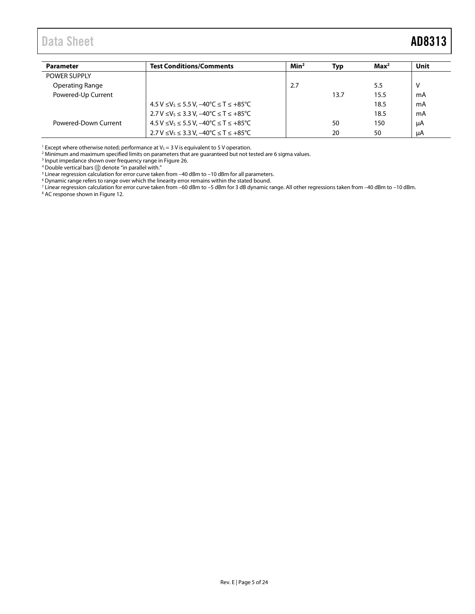<span id="page-4-0"></span>

| <b>Parameter</b>       | <b>Test Conditions/Comments</b>                                   | Min <sup>2</sup> | Тур  | Max <sup>2</sup> | Unit |
|------------------------|-------------------------------------------------------------------|------------------|------|------------------|------|
| <b>POWER SUPPLY</b>    |                                                                   |                  |      |                  |      |
| <b>Operating Range</b> |                                                                   | 2.7              |      | 5.5              | v    |
| Powered-Up Current     |                                                                   |                  | 13.7 | 15.5             | mA   |
|                        | $4.5 V \le V_s \le 5.5 V$ , $-40^{\circ}C \le T \le +85^{\circ}C$ |                  |      | 18.5             | mA   |
|                        | $2.7 V \le V_s \le 3.3 V$ , $-40^{\circ}C \le T \le +85^{\circ}C$ |                  |      | 18.5             | mA   |
| Powered-Down Current   | $4.5 V \le V_s \le 5.5 V$ , $-40^{\circ}C \le T \le +85^{\circ}C$ |                  | 50   | 150              | uA   |
|                        | 2.7 V ≤ V <sub>s</sub> ≤ 3.3 V, -40 °C ≤ T ≤ +85 °C               |                  | 20   | 50               | uA   |

<sup>1</sup> Except where otherwise noted; performance at  $V_s = 3$  V is equivalent to 5 V operation.

<sup>2</sup> Minimum and maximum specified limits on parameters that are guaranteed but not tested are 6 sigma values.

<sup>3</sup> Input impedance shown over frequency range i[n Figure 26.](#page-12-4)

<sup>4</sup> Double vertical bars (||) denote "in parallel with."

 $^5$  Linear regression calculation for error curve taken from –40 dBm to –10 dBm for all parameters.

 $6$  Dynamic range refers to range over which the linearity error remains within the stated bound.

<sup>7</sup> Linear regression calculation for error curve taken from –60 dBm to –5 dBm for 3 dB dynamic range. All other regressions taken from –40 dBm to –10 dBm.

<sup>8</sup> AC response shown i[n Figure 12.](#page-8-0)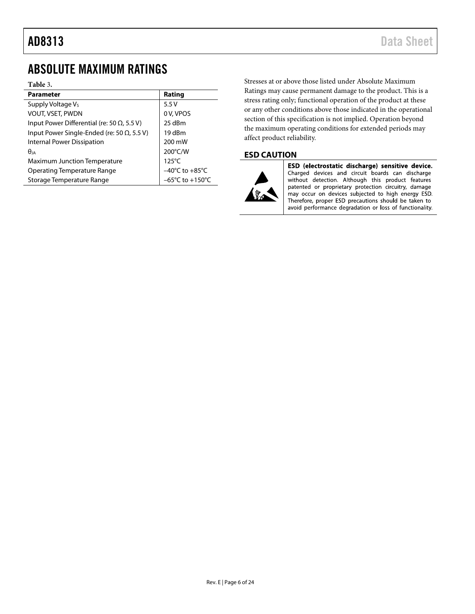## <span id="page-5-0"></span>ABSOLUTE MAXIMUM RATINGS

#### **Table** 3**.**

| <b>Parameter</b>                                   | Rating                              |
|----------------------------------------------------|-------------------------------------|
| Supply Voltage Vs                                  | 5.5V                                |
| <b>VOUT, VSET, PWDN</b>                            | 0 V, VPOS                           |
| Input Power Differential (re: 50 $\Omega$ , 5.5 V) | 25 dBm                              |
| Input Power Single-Ended (re: 50 $\Omega$ , 5.5 V) | 19 dBm                              |
| <b>Internal Power Dissipation</b>                  | 200 mW                              |
| $\theta$ ia                                        | 200°C/W                             |
| <b>Maximum Junction Temperature</b>                | $125^{\circ}$ C                     |
| <b>Operating Temperature Range</b>                 | $-40^{\circ}$ C to $+85^{\circ}$ C  |
| Storage Temperature Range                          | $-65^{\circ}$ C to $+150^{\circ}$ C |

Stresses at or above those listed under Absolute Maximum Ratings may cause permanent damage to the product. This is a stress rating only; functional operation of the product at these or any other conditions above those indicated in the operational section of this specification is not implied. Operation beyond the maximum operating conditions for extended periods may affect product reliability.

#### <span id="page-5-1"></span>**ESD CAUTION**



ESD (electrostatic discharge) sensitive device. Charged devices and circuit boards can discharge without detection. Although this product features patented or proprietary protection circuitry, damage may occur on devices subjected to high energy ESD. Therefore, proper ESD precautions should be taken to avoid performance degradation or loss of functionality.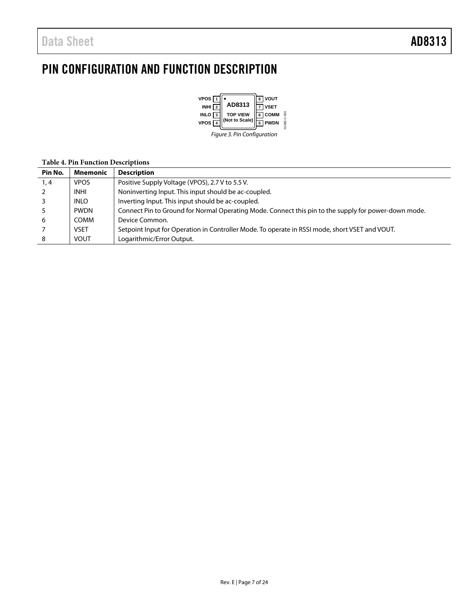## <span id="page-6-0"></span>PIN CONFIGURATION AND FUNCTION DESCRIPTION



### **Pin No. Mnemonic Description**  1, 4 | VPOS | Positive Supply Voltage (VPOS), 2.7 V to 5.5 V. 2 | INHI | Noninverting Input. This input should be ac-coupled. 3 | INLO | Inverting Input. This input should be ac-coupled. 5 PWDN Connect Pin to Ground for Normal Operating Mode. Connect this pin to the supply for power-down mode. 6 COMM Device Common. 7 VSET Setpoint Input for Operation in Controller Mode. To operate in RSSI mode, short VSET and VOUT. 8 VOUT | Logarithmic/Error Output.

#### **Table 4. Pin Function Descriptions**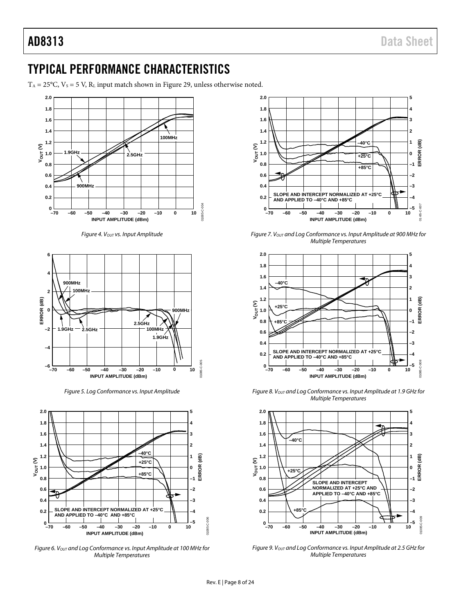## <span id="page-7-0"></span>TYPICAL PERFORMANCE CHARACTERISTICS

 $T_A = 25$ °C,  $V_S = 5$  V,  $R_L$  input match shown in [Figure 29,](#page-14-3) unless otherwise noted.



*Figure 4. VOUT vs. Input Amplitude*



*Figure 5. Log Conformance vs. Input Amplitude*



*Figure 6. V<sub>OUT</sub> and Log Conformance vs. Input Amplitude at 100 MHz for Multiple Temperatures*



*Figure 7. VOUT and Log Conformance vs. Input Amplitude at 900 MHz for Multiple Temperatures*



*Figure 8. VOUT and Log Conformance vs. Input Amplitude at 1.9 GHz for Multiple Temperatures*



*Figure 9. VOUT and Log Conformance vs. Input Amplitude at 2.5 GHz for Multiple Temperatures*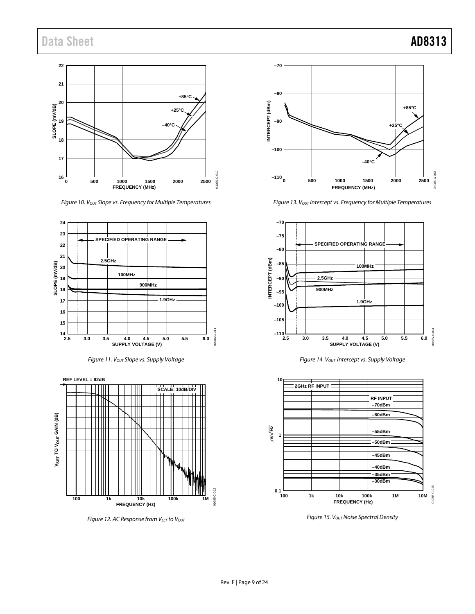

*Figure 10. V<sub>OUT</sub> Slope vs. Frequency for Multiple Temperatures* 

<span id="page-8-1"></span>





<span id="page-8-0"></span>*Figure 12. AC Response from V<sub>SET</sub> to Vout* 



<span id="page-8-2"></span>*Figure 13. V<sub>OUT</sub> Intercept vs. Frequency for Multiple Temperatures* 



**Figure 14. Vout Intercept vs. Supply Voltage** 



**Figure 15. Vout Noise Spectral Density**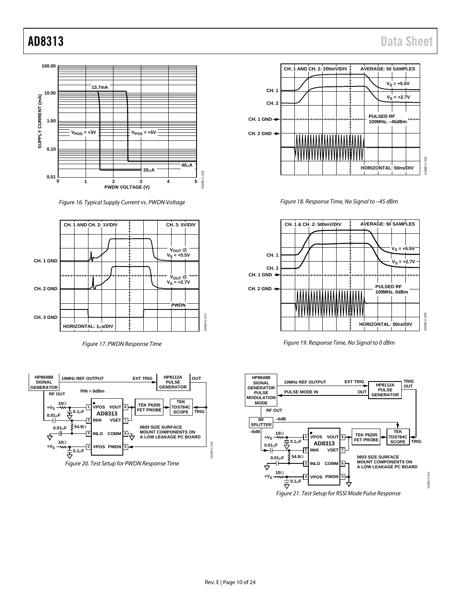

*Figure 16. Typical Supply Current vs. PWDN Voltage*



*Figure 17. PWDN Response Time*



*Figure 20. Test Setup for PWDN Response Time*



*Figure 18. Response Time, No Signal to –45 dBm*



*Figure 19. Response Time, No Signal to 0 dBm*



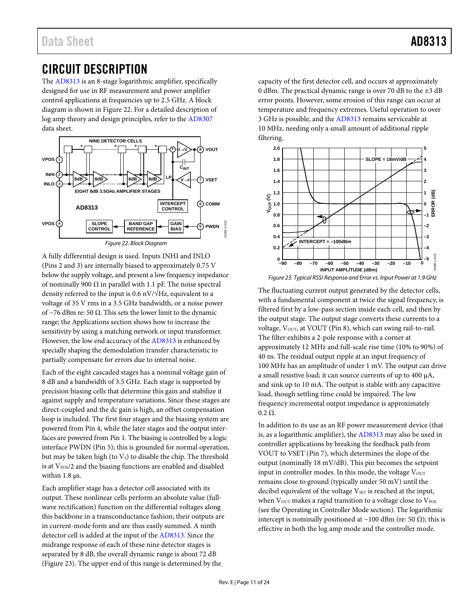## <span id="page-10-0"></span>CIRCUIT DESCRIPTION

The [AD8313](http://www.analog.com/AD8313?doc=AD8313.pdf) is an 8-stage logarithmic amplifier, specifically designed for use in RF measurement and power amplifier control applications at frequencies up to 2.5 GHz. A block diagram is shown in [Figure 22.](#page-10-1) For a detailed description of log amp theory and design principles, refer to th[e AD8307](http://www.analog.com/AD8307?doc=AD8313.pdf) data sheet.



<span id="page-10-1"></span>A fully differential design is used. Inputs INHI and INLO (Pins 2 and 3) are internally biased to approximately 0.75 V below the supply voltage, and present a low frequency impedance of nominally 900  $\Omega$  in parallel with 1.1 pF. The noise spectral density referred to the input is 0.6 nV/ $\sqrt{Hz}$ , equivalent to a voltage of 35 V rms in a 3.5 GHz bandwidth, or a noise power of  $-76$  dBm re: 50  $\Omega$ . This sets the lower limit to the dynamic range; the [Applications](#page-14-0) section shows how to increase the sensitivity by using a matching network or input transformer. However, the low end accuracy of th[e AD8313](http://www.analog.com/AD8313?doc=AD8313.pdf) is enhanced by specially shaping the demodulation transfer characteristic to partially compensate for errors due to internal noise.

Each of the eight cascaded stages has a nominal voltage gain of 8 dB and a bandwidth of 3.5 GHz. Each stage is supported by precision biasing cells that determine this gain and stabilize it against supply and temperature variations. Since these stages are direct-coupled and the dc gain is high, an offset compensation loop is included. The first four stages and the biasing system are powered from Pin 4, while the later stages and the output interfaces are powered from Pin 1. The biasing is controlled by a logic interface PWDN (Pin 5); this is grounded for normal operation, but may be taken high (to  $V<sub>S</sub>$ ) to disable the chip. The threshold is at V<sub>POS</sub>/2 and the biasing functions are enabled and disabled within 1.8  $\mu$ s.

Each amplifier stage has a detector cell associated with its output. These nonlinear cells perform an absolute value (fullwave rectification) function on the differential voltages along this backbone in a transconductance fashion; their outputs are in current-mode form and are thus easily summed. A ninth detector cell is added at the input of th[e AD8313.](http://www.analog.com/AD8313?doc=AD8313.pdf) Since the midrange response of each of these nine detector stages is separated by 8 dB, the overall dynamic range is about 72 dB [\(Figure 23\)](#page-10-2). The upper end of this range is determined by the

capacity of the first detector cell, and occurs at approximately 0 dBm. The practical dynamic range is over 70 dB to the ±3 dB error points. However, some erosion of this range can occur at temperature and frequency extremes. Useful operation to over 3 GHz is possible, and th[e AD8313](http://www.analog.com/AD8313?doc=AD8313.pdf) remains serviceable at 10 MHz, needing only a small amount of additional ripple filtering.



<span id="page-10-2"></span>The fluctuating current output generated by the detector cells, with a fundamental component at twice the signal frequency, is filtered first by a low-pass section inside each cell, and then by the output stage. The output stage converts these currents to a voltage, Vout, at VOUT (Pin 8), which can swing rail-to-rail. The filter exhibits a 2-pole response with a corner at approximately 12 MHz and full-scale rise time (10% to 90%) of 40 ns. The residual output ripple at an input frequency of 100 MHz has an amplitude of under 1 mV. The output can drive a small resistive load; it can source currents of up to 400 µA, and sink up to 10 mA. The output is stable with any capacitive load, though settling time could be impaired. The low frequency incremental output impedance is approximately  $0.2 \Omega$ .

In addition to its use as an RF power measurement device (that is, as a logarithmic amplifier), the [AD8313](http://www.analog.com/AD8313?doc=AD8313.pdf) may also be used in controller applications by breaking the feedback path from VOUT to VSET (Pin 7), which determines the slope of the output (nominally 18 mV/dB). This pin becomes the setpoint input in controller modes. In this mode, the voltage  $V_{OUT}$ remains close to ground (typically under 50 mV) until the decibel equivalent of the voltage  $V_{\text{SET}}$  is reached at the input, when  $V_{\text{OUT}}$  makes a rapid transition to a voltage close to  $V_{\text{POS}}$ (see th[e Operating in Controller Mode](#page-14-2) section). The logarithmic intercept is nominally positioned at −100 dBm (re: 50 Ω); this is effective in both the log amp mode and the controller mode.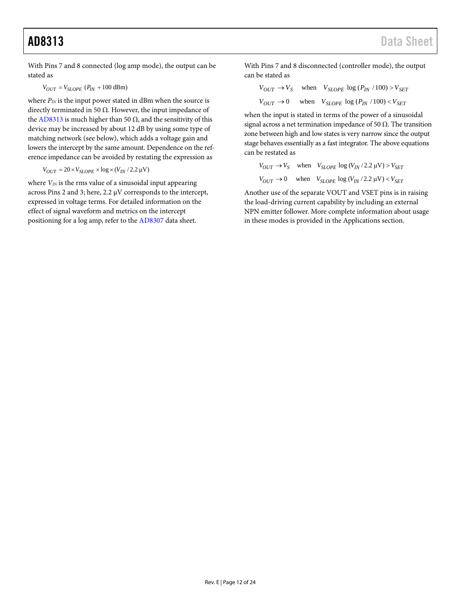With Pins 7 and 8 connected (log amp mode), the output can be stated as

 $V_{OUT} = V_{SLOPE} (P_{IN} + 100 \text{ dBm})$ 

where  $P_{IN}$  is the input power stated in dBm when the source is directly terminated in 50  $\Omega$ . However, the input impedance of the [AD8313](http://www.analog.com/AD8313?doc=AD8313.pdf) is much higher than 50  $Ω$ , and the sensitivity of this device may be increased by about 12 dB by using some type of matching network (see below), which adds a voltage gain and lowers the intercept by the same amount. Dependence on the reference impedance can be avoided by restating the expression as

$$
V_{OUT} = 20 \times V_{SLOPE} \times \log \times (V_{IN}/2.2 \,\mu\text{V})
$$

where  $V_{I N}$  is the rms value of a sinusoidal input appearing across Pins 2 and 3; here, 2.2 µV corresponds to the intercept, expressed in voltage terms. For detailed information on the effect of signal waveform and metrics on the intercept positioning for a log amp, refer to th[e AD8307](http://www.analog.com/AD8307?doc=AD8313.pdf) data sheet.

With Pins 7 and 8 disconnected (controller mode), the output can be stated as

$$
V_{OUT} \rightarrow V_S \quad \text{when} \quad V_{SLOPE} \log (P_{IN} / 100) > V_{SET}
$$
  

$$
V_{OUT} \rightarrow 0 \quad \text{when} \quad V_{SLOPE} \log (P_{IN} / 100) < V_{SET}
$$

when the input is stated in terms of the power of a sinusoidal signal across a net termination impedance of 50  $\Omega$ . The transition zone between high and low states is very narrow since the output stage behaves essentially as a fast integrator. The above equations can be restated as

$$
V_{OUT} \rightarrow V_S \quad \text{when} \quad V_{SLOPE} \log (V_{IN}/2.2 \, \mu\text{V}) > V_{SET}
$$
  

$$
V_{OUT} \rightarrow 0 \quad \text{when} \quad V_{SLOPE} \log (V_{IN}/2.2 \, \mu\text{V}) < V_{SET}
$$

Another use of the separate VOUT and VSET pins is in raising the load-driving current capability by including an external NPN emitter follower. More complete information about usage in these modes is provided in th[e Applications](#page-14-0) section.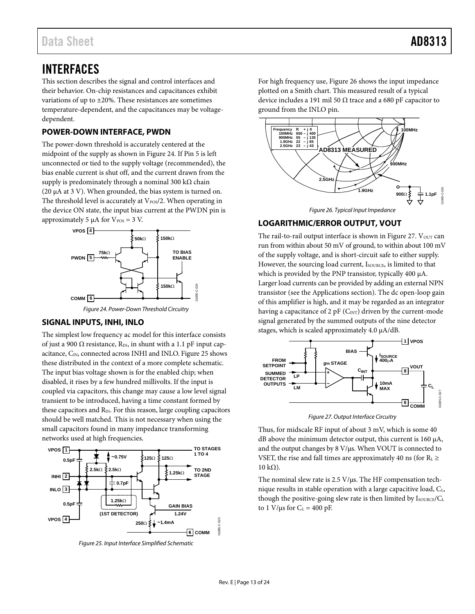## <span id="page-12-0"></span>INTERFACES

This section describes the signal and control interfaces and their behavior. On-chip resistances and capacitances exhibit variations of up to ±20%. These resistances are sometimes temperature-dependent, and the capacitances may be voltagedependent.

#### <span id="page-12-1"></span>**POWER-DOWN INTERFACE, PWDN**

The power-down threshold is accurately centered at the midpoint of the supply as shown in [Figure 24.](#page-12-5) If Pin 5 is left unconnected or tied to the supply voltage (recommended), the bias enable current is shut off, and the current drawn from the supply is predominately through a nominal 300 k $\Omega$  chain (20  $\mu$ A at 3 V). When grounded, the bias system is turned on. The threshold level is accurately at  $V_{\text{POS}}/2$ . When operating in the device ON state, the input bias current at the PWDN pin is approximately 5  $\mu$ A for V<sub>POS</sub> = 3 V.



*Figure 24. Power-Down Threshold Circuitry*

#### <span id="page-12-5"></span><span id="page-12-2"></span>**SIGNAL INPUTS, INHI, INLO**

The simplest low frequency ac model for this interface consists of just a 900  $\Omega$  resistance, R<sub>IN</sub>, in shunt with a 1.1 pF input cap-acitance, C<sub>IN</sub>, connected across INHI and INLO[. Figure 25](#page-12-6) shows these distributed in the context of a more complete schematic. The input bias voltage shown is for the enabled chip; when disabled, it rises by a few hundred millivolts. If the input is coupled via capacitors, this change may cause a low level signal transient to be introduced, having a time constant formed by these capacitors and  $R_{IN}$ . For this reason, large coupling capacitors should be well matched. This is not necessary when using the small capacitors found in many impedance transforming networks used at high frequencies.



<span id="page-12-6"></span>*Figure 25. Input Interface Simplified Schematic*

For high frequency use[, Figure 26](#page-12-4) shows the input impedance plotted on a Smith chart. This measured result of a typical device includes a 191 mil 50  $\Omega$  trace and a 680 pF capacitor to ground from the INLO pin.



#### <span id="page-12-4"></span><span id="page-12-3"></span>**LOGARITHMIC/ERROR OUTPUT, VOUT**

The rail-to-rail output interface is shown i[n Figure 27.](#page-12-7) Vour can run from within about 50 mV of ground, to within about 100 mV of the supply voltage, and is short-circuit safe to either supply. However, the sourcing load current, ISOURCE, is limited to that which is provided by the PNP transistor, typically 400 µA. Larger load currents can be provided by adding an external NPN transistor (see th[e Applications](#page-14-0) section). The dc open-loop gain of this amplifier is high, and it may be regarded as an integrator having a capacitance of 2 pF  $(C_{INT})$  driven by the current-mode signal generated by the summed outputs of the nine detector stages, which is scaled approximately 4.0 µA/dB.



*Figure 27. Output Interface Circuitry*

<span id="page-12-7"></span>Thus, for midscale RF input of about 3 mV, which is some 40 dB above the minimum detector output, this current is 160 µA, and the output changes by 8 V/µs. When VOUT is connected to VSET, the rise and fall times are approximately 40 ns (for  $R_L \ge$  $10 \text{ kΩ}$ ).

The nominal slew rate is 2.5 V/µs. The HF compensation technique results in stable operation with a large capacitive load,  $C_{L}$ , though the positive-going slew rate is then limited by  $I_{\text{SOURCE}}/C_{\text{L}}$ to 1 V/ $\mu$ s for C<sub>L</sub> = 400 pF.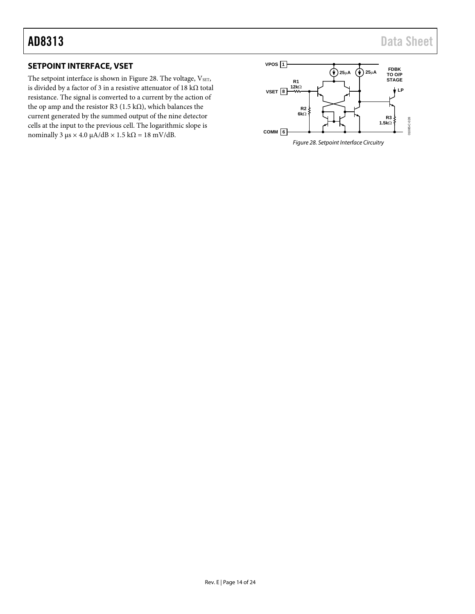### <span id="page-13-0"></span>**SETPOINT INTERFACE, VSET**

The setpoint interface is shown i[n Figure 28.](#page-13-1) The voltage, VSET, is divided by a factor of 3 in a resistive attenuator of 18 kΩ total resistance. The signal is converted to a current by the action of the op amp and the resistor R3 (1.5 k $\Omega$ ), which balances the current generated by the summed output of the nine detector cells at the input to the previous cell. The logarithmic slope is nominally 3 μs  $\times$  4.0 μA/dB  $\times$  1.5 kΩ = 18 mV/dB.

<span id="page-13-1"></span>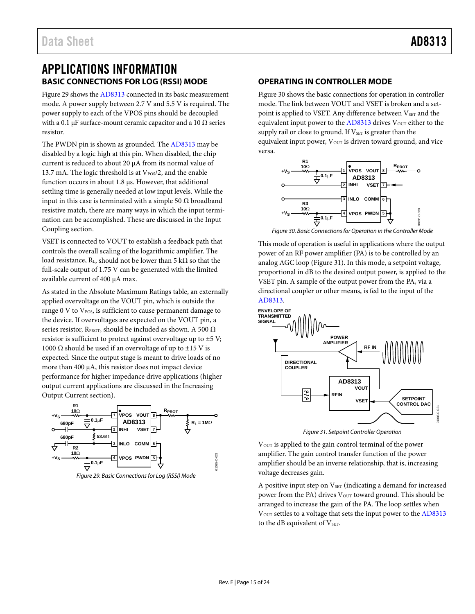## <span id="page-14-1"></span><span id="page-14-0"></span>APPLICATIONS INFORMATION **BASIC CONNECTIONS FOR LOG (RSSI) MODE**

[Figure 29](#page-14-3) shows th[e AD8313](http://www.analog.com/AD8313?doc=AD8313.pdf) connected in its basic measurement mode. A power supply between 2.7 V and 5.5 V is required. The power supply to each of the VPOS pins should be decoupled with a 0.1 µF surface-mount ceramic capacitor and a 10  $\Omega$  series resistor.

The PWDN pin is shown as grounded. The [AD8313](http://www.analog.com/AD8313?doc=AD8313.pdf) may be disabled by a logic high at this pin. When disabled, the chip current is reduced to about 20 µA from its normal value of 13.7 mA. The logic threshold is at  $V_{\rm POS}/2$ , and the enable function occurs in about 1.8 µs. However, that additional settling time is generally needed at low input levels. While the input in this case is terminated with a simple 50  $\Omega$  broadband resistive match, there are many ways in which the input termination can be accomplished. These are discussed in th[e Input](#page-15-0)  [Coupling](#page-15-0) section.

VSET is connected to VOUT to establish a feedback path that controls the overall scaling of the logarithmic amplifier. The load resistance,  $R_L$ , should not be lower than 5 k $\Omega$  so that the full-scale output of 1.75 V can be generated with the limited available current of 400 µA max.

As stated in th[e Absolute Maximum Ratings](#page-5-0) table, an externally applied overvoltage on the VOUT pin, which is outside the range 0 V to V<sub>POS</sub>, is sufficient to cause permanent damage to the device. If overvoltages are expected on the VOUT pin, a series resistor, RPROT, should be included as shown. A 500  $\Omega$ resistor is sufficient to protect against overvoltage up to ±5 V; 1000 Ω should be used if an overvoltage of up to  $\pm$ 15 V is expected. Since the output stage is meant to drive loads of no more than 400 µA, this resistor does not impact device performance for higher impedance drive applications (higher output current applications are discussed in th[e Increasing](#page-17-1)  [Output Current](#page-17-1) section).



<span id="page-14-3"></span>*Figure 29. Basic Connections for Log (RSSI) Mode*

#### <span id="page-14-2"></span>**OPERATING IN CONTROLLER MODE**

[Figure 30](#page-14-4) shows the basic connections for operation in controller mode. The link between VOUT and VSET is broken and a setpoint is applied to VSET. Any difference between V<sub>SET</sub> and the equivalent input power to the  $AD8313$  drives  $V<sub>OUT</sub>$  either to the supply rail or close to ground. If V<sub>SET</sub> is greater than the equivalent input power,  $V_{OUT}$  is driven toward ground, and vice versa.



*Figure 30. Basic Connections for Operation in the Controller Mode*

<span id="page-14-4"></span>This mode of operation is useful in applications where the output power of an RF power amplifier (PA) is to be controlled by an analog AGC loop [\(Figure 31\)](#page-14-5). In this mode, a setpoint voltage, proportional in dB to the desired output power, is applied to the VSET pin. A sample of the output power from the PA, via a directional coupler or other means, is fed to the input of the [AD8313.](http://www.analog.com/AD8313?doc=AD8313.pdf)



*Figure 31. Setpoint Controller Operation*

<span id="page-14-5"></span>V<sub>OUT</sub> is applied to the gain control terminal of the power amplifier. The gain control transfer function of the power amplifier should be an inverse relationship, that is, increasing voltage decreases gain.

A positive input step on  $V<sub>SET</sub>$  (indicating a demand for increased power from the PA) drives V<sub>OUT</sub> toward ground. This should be arranged to increase the gain of the PA. The loop settles when  $V<sub>OUT</sub>$  settles to a voltage that sets the input power to the  $AD8313$ to the dB equivalent of VSET.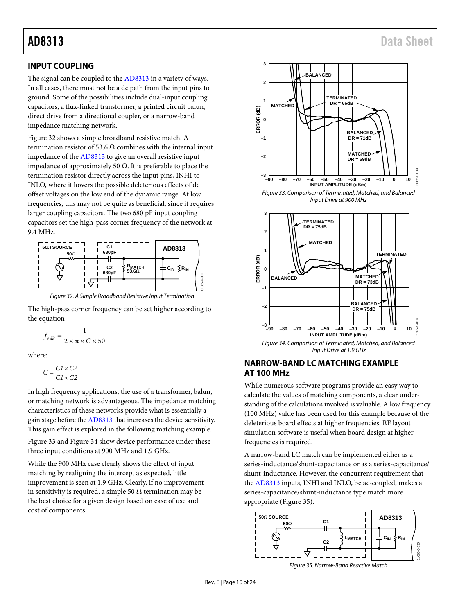### <span id="page-15-0"></span>**INPUT COUPLING**

The signal can be coupled to th[e AD8313](http://www.analog.com/AD8313?doc=AD8313.pdf) in a variety of ways. In all cases, there must not be a dc path from the input pins to ground. Some of the possibilities include dual-input coupling capacitors, a flux-linked transformer, a printed circuit balun, direct drive from a directional coupler, or a narrow-band impedance matching network.

[Figure 32](#page-15-2) shows a simple broadband resistive match. A termination resistor of 53.6  $\Omega$  combines with the internal input impedance of th[e AD8313](http://www.analog.com/AD8313?doc=AD8313.pdf) to give an overall resistive input impedance of approximately 50 Ω. It is preferable to place the termination resistor directly across the input pins, INHI to INLO, where it lowers the possible deleterious effects of dc offset voltages on the low end of the dynamic range. At low frequencies, this may not be quite as beneficial, since it requires larger coupling capacitors. The two 680 pF input coupling capacitors set the high-pass corner frequency of the network at 9.4 MHz.



<span id="page-15-2"></span>The high-pass corner frequency can be set higher according to the equation

$$
f_{3dB} = \frac{1}{2 \times \pi \times C \times 50}
$$

where:

$$
C = \frac{C1 \times C2}{C1 \times C2}
$$

In high frequency applications, the use of a transformer, balun, or matching network is advantageous. The impedance matching characteristics of these networks provide what is essentially a gain stage before th[e AD8313](http://www.analog.com/AD8313?doc=AD8313.pdf) that increases the device sensitivity. This gain effect is explored in the following matching example.

[Figure 33](#page-15-3) an[d Figure 34](#page-15-4) show device performance under these three input conditions at 900 MHz and 1.9 GHz.

While the 900 MHz case clearly shows the effect of input matching by realigning the intercept as expected, little improvement is seen at 1.9 GHz. Clearly, if no improvement in sensitivity is required, a simple 50  $\Omega$  termination may be the best choice for a given design based on ease of use and cost of components.



*Figure 33. Comparison of Terminated, Matched, and Balanced Input Drive at 900 MHz*

<span id="page-15-3"></span>

### <span id="page-15-4"></span><span id="page-15-1"></span>**NARROW-BAND LC MATCHING EXAMPLE AT 100 MHz**

While numerous software programs provide an easy way to calculate the values of matching components, a clear understanding of the calculations involved is valuable. A low frequency (100 MHz) value has been used for this example because of the deleterious board effects at higher frequencies. RF layout simulation software is useful when board design at higher frequencies is required.

A narrow-band LC match can be implemented either as a series-inductance/shunt-capacitance or as a series-capacitance/ shunt-inductance. However, the concurrent requirement that the [AD8313](http://www.analog.com/AD8313?doc=AD8313.pdf) inputs, INHI and INLO, be ac-coupled, makes a series-capacitance/shunt-inductance type match more appropriate [\(Figure 35\)](#page-15-5).



<span id="page-15-5"></span>*Figure 35. Narrow-Band Reactive Match*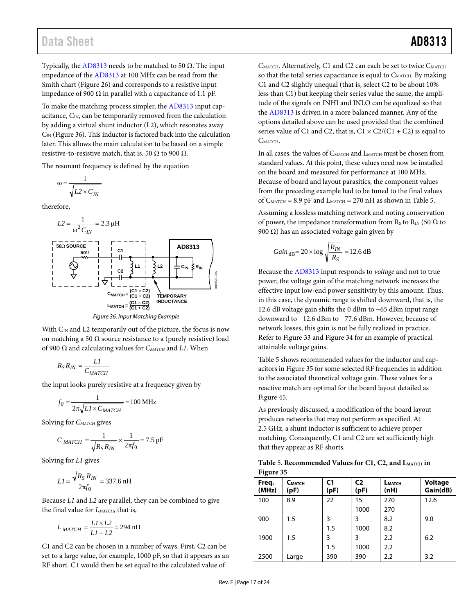Typically, the [AD8313](http://www.analog.com/AD8313?doc=AD8313.pdf) needs to be matched to 50 Ω. The input impedance of th[e AD8313](http://www.analog.com/AD8313?doc=AD8313.pdf) at 100 MHz can be read from the Smith chart [\(Figure 26\)](#page-12-4) and corresponds to a resistive input impedance of 900 Ω in parallel with a capacitance of 1.1 pF.

To make the matching process simpler, th[e AD8313](http://www.analog.com/AD8313?doc=AD8313.pdf) input capacitance,  $C_{IN}$ , can be temporarily removed from the calculation by adding a virtual shunt inductor (L2), which resonates away  $C_{\text{IN}}$  [\(Figure 36\)](#page-16-0). This inductor is factored back into the calculation later. This allows the main calculation to be based on a simple resistive-to-resistive match, that is, 50  $\Omega$  to 900  $\Omega$ .

The resonant frequency is defined by the equation

$$
\omega = \frac{1}{\sqrt{L^2 \times C_{IN}}}
$$

therefore,



*Figure 36. Input Matching Example*

<span id="page-16-0"></span>With C<sub>IN</sub> and L2 temporarily out of the picture, the focus is now on matching a 50  $\Omega$  source resistance to a (purely resistive) load of 900 Ω and calculating values for *CMATCH* and *L1*. When

$$
R_{S}R_{IN} = \frac{LI}{C_{MATCH}}
$$

the input looks purely resistive at a frequency given by

$$
f_0 = \frac{1}{2\pi\sqrt{LI \times C_{MATCH}}} = 100 \text{ MHz}
$$

Solving for *CMATCH* gives

$$
C_{MATCH} = \frac{1}{\sqrt{R_S R_{IN}}} \times \frac{1}{2\pi f_0} = 7.5 \text{ pF}
$$

Solving for *L1* gives

$$
LI = \frac{\sqrt{R_S} R_{IN}}{2\pi f_0} = 337.6 \text{ nH}
$$

Because *L1* and *L2* are parallel, they can be combined to give the final value for *LMATCH*, that is,

$$
L_{MATCH} = \frac{LI \times L2}{LI + L2} = 294 \text{ nH}
$$

C1 and C2 can be chosen in a number of ways. First, C2 can be set to a large value, for example, 1000 pF, so that it appears as an RF short. C1 would then be set equal to the calculated value of

CMATCH. Alternatively, C1 and C2 can each be set to twice CMATCH so that the total series capacitance is equal to CMATCH. By making C1 and C2 slightly unequal (that is, select C2 to be about 10% less than C1) but keeping their series value the same, the amplitude of the signals on INHI and INLO can be equalized so that the [AD8313](http://www.analog.com/AD8313?doc=AD8313.pdf) is driven in a more balanced manner. Any of the options detailed above can be used provided that the combined series value of C1 and C2, that is,  $Cl \times C2/(Cl + C2)$  is equal to C<sub>MATCH</sub>.

In all cases, the values of CMATCH and LMATCH must be chosen from standard values. At this point, these values need now be installed on the board and measured for performance at 100 MHz. Because of board and layout parasitics, the component values from the preceding example had to be tuned to the final values of  $C_{\text{MATCH}} = 8.9$  pF and  $L_{\text{MATCH}} = 270$  nH as shown in [Table 5.](#page-16-1)

Assuming a lossless matching network and noting conservation of power, the impedance transformation from Rs to R<sub>IN</sub> (50  $\Omega$  to 900 Ω) has an associated voltage gain given by

$$
Gain_{dB} = 20 \times \log \sqrt{\frac{R_{IN}}{R_S}} = 12.6 \text{ dB}
$$

Because the [AD8313](http://www.analog.com/AD8313?doc=AD8313.pdf) input responds to *voltage* and not to true power, the voltage gain of the matching network increases the effective input low-end power sensitivity by this amount. Thus, in this case, the dynamic range is shifted downward, that is, the 12.6 dB voltage gain shifts the 0 dBm to −65 dBm input range downward to −12.6 dBm to −77.6 dBm. However, because of network losses, this gain is not be fully realized in practice. Refer t[o Figure 33](#page-15-3) an[d Figure 34](#page-15-4) for an example of practical attainable voltage gains.

[Table 5](#page-16-1) shows recommended values for the inductor and capacitors i[n Figure 35](#page-15-5) for some selected RF frequencies in addition to the associated theoretical voltage gain. These values for a reactive match are optimal for the board layout detailed as [Figure 45.](#page-22-0)

As previously discussed, a modification of the board layout produces networks that may not perform as specified. At 2.5 GHz, a shunt inductor is sufficient to achieve proper matching. Consequently, C1 and C2 are set sufficiently high that they appear as RF shorts.

<span id="page-16-1"></span>

| Table 5. Recommended Values for C1, C2, and $L_{\text{MATCH}}$ in |
|-------------------------------------------------------------------|
| Figure 35                                                         |

| ారా            |                            |                        |                        |                |                            |
|----------------|----------------------------|------------------------|------------------------|----------------|----------------------------|
| Freq.<br>(MHz) | C <sub>MATCH</sub><br>(pF) | C <sub>1</sub><br>(pF) | C <sub>2</sub><br>(pF) | LMATCH<br>(nH) | <b>Voltage</b><br>Gain(dB) |
| 100            | 8.9                        | 22                     | 15                     | 270            | 12.6                       |
|                |                            |                        | 1000                   | 270            |                            |
| 900            | 1.5                        | 3                      | 3                      | 8.2            | 9.0                        |
|                |                            | 1.5                    | 1000                   | 8.2            |                            |
| 1900           | 1.5                        | 3                      | 3                      | 2.2            | 6.2                        |
|                |                            | 1.5                    | 1000                   | 2.2            |                            |
| 2500           | Large                      | 390                    | 390                    | 2.2            | 3.2                        |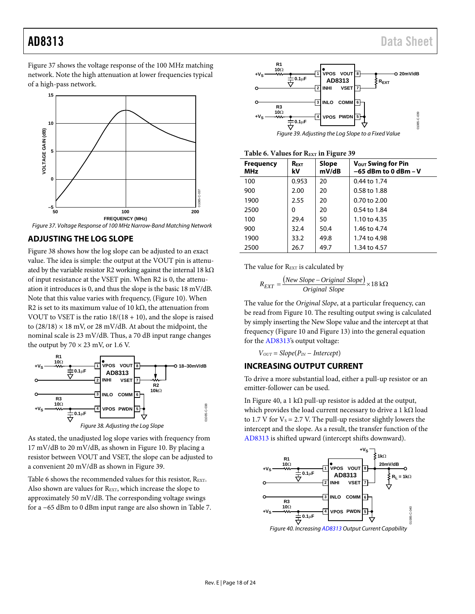[Figure 37 s](#page-17-2)hows the voltage response of the 100 MHz matching network. Note the high attenuation at lower frequencies typical of a high-pass network.



<span id="page-17-2"></span>

#### <span id="page-17-0"></span>**ADJUSTING THE LOG SLOPE**

[Figure 38 s](#page-17-3)hows how the log slope can be adjusted to an exact value. The idea is simple: the output at the VOUT pin is attenuated by the variable resistor R2 working against the internal 18 k $\Omega$ of input resistance at the VSET pin. When R2 is 0, the attenuation it introduces is 0, and thus the slope is the basic 18 mV/dB. Note that this value varies with frequency, [\(Figure 10\)](#page-8-1). When R2 is set to its maximum value of 10 k $\Omega$ , the attenuation from VOUT to VSET is the ratio  $18/(18 + 10)$ , and the slope is raised to  $(28/18) \times 18$  mV, or 28 mV/dB. At about the midpoint, the nominal scale is 23 mV/dB. Thus, a 70 dB input range changes the output by  $70 \times 23$  mV, or 1.6 V.



<span id="page-17-3"></span>As stated, the unadjusted log slope varies with frequency from 17 mV/dB to 20 mV/dB, as shown in [Figure 10.](#page-8-1) By placing a resistor between VOUT and VSET, the slope can be adjusted to a convenient 20 mV/dB as shown i[n Figure 39.](#page-17-4)

[Table 6](#page-17-5) shows the recommended values for this resistor,  $R_{\text{EXT}}$ . Also shown are values for REXT, which increase the slope to approximately 50 mV/dB. The corresponding voltage swings for a −65 dBm to 0 dBm input range are also shown i[n Table 7.](#page-18-1)





<span id="page-17-5"></span><span id="page-17-4"></span>

| Table 6. Values for REXT in Figure 39 |  |  |  |  |  |  |
|---------------------------------------|--|--|--|--|--|--|
|---------------------------------------|--|--|--|--|--|--|

| <b>Frequency</b><br>MHz | <b>REXT</b><br>kV | $\cdot$<br>Slope<br>mV/dB | V <sub>out</sub> Swing for Pin<br>$-65$ dBm to 0 dBm $-$ V |
|-------------------------|-------------------|---------------------------|------------------------------------------------------------|
| 100                     | 0.953             | 20                        | 0.44 to 1.74                                               |
| 900                     | 2.00              | 20                        | 0.58 to 1.88                                               |
| 1900                    | 2.55              | 20                        | $0.70$ to $2.00$                                           |
| 2500                    | 0                 | 20                        | 0.54 to 1.84                                               |
| 100                     | 29.4              | 50                        | 1.10 to 4.35                                               |
| 900                     | 32.4              | 50.4                      | 1.46 to 4.74                                               |
| 1900                    | 33.2              | 49.8                      | 1.74 to 4.98                                               |
| 2500                    | 26.7              | 49.7                      | 1.34 to 4.57                                               |

The value for REXT is calculated by

$$
R_{EXT} = \frac{(New \ Slope - Original \ Slope)}{Original \ Slope} \times 18 \ k\Omega
$$

The value for the *Original Slope*, at a particular frequency, can be read from [Figure 10.](#page-8-1) The resulting output swing is calculated by simply inserting the New Slope value and the intercept at that frequency [\(Figure 10](#page-8-1) an[d Figure 13\)](#page-8-2) into the general equation for th[e AD8313's](http://www.analog.com/AD8313?doc=AD8313.pdf) output voltage:

*VOUT* = *Slope*(*PIN* − *Intercept*)

#### <span id="page-17-1"></span>**INCREASING OUTPUT CURRENT**

To drive a more substantial load, either a pull-up resistor or an emitter-follower can be used.

I[n Figure 40,](#page-17-6) a 1 kΩ pull-up resistor is added at the output, which provides the load current necessary to drive a 1 kΩ load to 1.7 V for  $V_s = 2.7$  V. The pull-up resistor slightly lowers the intercept and the slope. As a result, the transfer function of the [AD8313 i](http://www.analog.com/AD8313?doc=AD8313.pdf)s shifted upward (intercept shifts downward).



<span id="page-17-6"></span>Figure 40. Increasin[g AD8313 O](http://www.analog.com/AD8313?doc=AD8313.pdf)utput Current Capability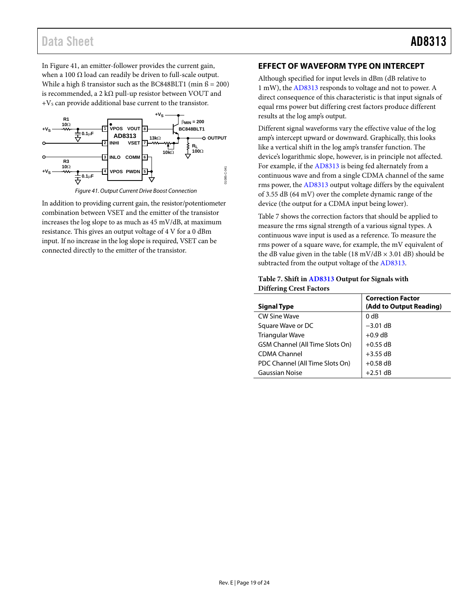In Figure 41, an emitter-follower provides the current gain, when a 100  $\Omega$  load can readily be driven to full-scale output. While a high  $\beta$  transistor such as the BC848BLT1 (min  $\beta = 200$ ) is recommended, a 2 k $\Omega$  pull-up resistor between VOUT and  $+V_s$  can provide additional base current to the transistor.



Figure 41. Output Current Drive Boost Connection

In addition to providing current gain, the resistor/potentiometer combination between VSET and the emitter of the transistor increases the log slope to as much as 45 mV/dB, at maximum resistance. This gives an output voltage of 4 V for a 0 dBm input. If no increase in the log slope is required, VSET can be connected directly to the emitter of the transistor.

### <span id="page-18-0"></span>**EFFECT OF WAVEFORM TYPE ON INTERCEPT**

Although specified for input levels in dBm (dB relative to 1 mW), th[e AD8313 r](http://www.analog.com/AD8313?doc=AD8313.pdf)esponds to voltage and not to power. A direct consequence of this characteristic is that input signals of equal rms power but differing crest factors produce different results at the log amp's output.

Different signal waveforms vary the effective value of the log amp's intercept upward or downward. Graphically, this looks like a vertical shift in the log amp's transfer function. The device's logarithmic slope, however, is in principle not affected. For example, if the [AD8313 i](http://www.analog.com/AD8313?doc=AD8313.pdf)s being fed alternately from a continuous wave and from a single CDMA channel of the same rms power, th[e AD8313 o](http://www.analog.com/AD8313?doc=AD8313.pdf)utput voltage differs by the equivalent of 3.55 dB (64 mV) over the complete dynamic range of the device (the output for a CDMA input being lower).

[Table 7](#page-18-1) shows the correction factors that should be applied to measure the rms signal strength of a various signal types. A continuous wave input is used as a reference. To measure the rms power of a square wave, for example, the mV equivalent of the dB value given in the table (18 mV/dB  $\times$  3.01 dB) should be subtracted from the output voltage of th[e AD8313.](http://www.analog.com/AD8313?doc=AD8313.pdf)

#### <span id="page-18-1"></span>**Table 7. Shift i[n AD8313](http://www.analog.com/AD8313?doc=AD8313.pdf) Output for Signals with Differing Crest Factors**

| <b>Signal Type</b>              | <b>Correction Factor</b><br>(Add to Output Reading) |
|---------------------------------|-----------------------------------------------------|
| <b>CW Sine Wave</b>             | 0 <sub>d</sub> B                                    |
| Square Wave or DC               | $-3.01$ dB                                          |
| <b>Triangular Wave</b>          | $+0.9$ dB                                           |
| GSM Channel (All Time Slots On) | $+0.55$ dB                                          |
| <b>CDMA Channel</b>             | $+3.55$ dB                                          |
| PDC Channel (All Time Slots On) | $+0.58$ dB                                          |
| <b>Gaussian Noise</b>           | $+2.51$ dB                                          |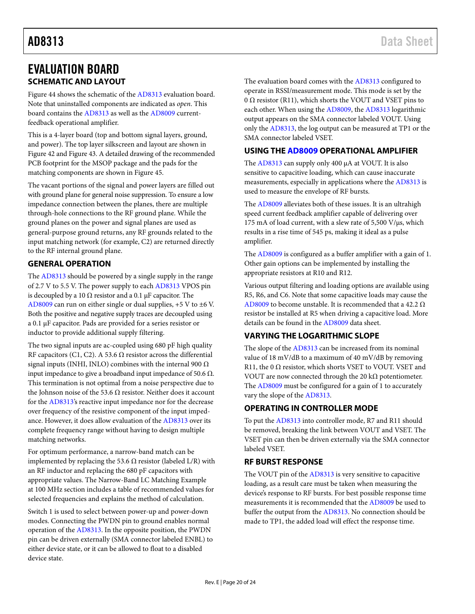## <span id="page-19-0"></span>EVALUATION BOARD **SCHEMATIC AND LAYOUT**

<span id="page-19-1"></span>[Figure 44](#page-21-0) shows the schematic of the [AD8313](http://www.analog.com/AD8313?doc=AD8313.pdf) evaluation board. Note that uninstalled components are indicated as *open*. This board contains the [AD8313](http://www.analog.com/AD8313?doc=AD8313.pdf) as well as the [AD8009](http://www.analog.com/AD8009?doc=AD8313.pdf) currentfeedback operational amplifier.

This is a 4-layer board (top and bottom signal layers, ground, and power). The top layer silkscreen and layout are shown in [Figure 42](#page-20-0) and [Figure 43.](#page-20-1) A detailed drawing of the recommended PCB footprint for the MSOP package and the pads for the matching components are shown i[n Figure 45.](#page-22-0)

The vacant portions of the signal and power layers are filled out with ground plane for general noise suppression. To ensure a low impedance connection between the planes, there are multiple through-hole connections to the RF ground plane. While the ground planes on the power and signal planes are used as general-purpose ground returns, any RF grounds related to the input matching network (for example, C2) are returned directly to the RF internal ground plane.

#### <span id="page-19-2"></span>**GENERAL OPERATION**

The [AD8313](http://www.analog.com/AD8313?doc=AD8313.pdf) should be powered by a single supply in the range of 2.7 V to 5.5 V. The power supply to each [AD8313](http://www.analog.com/AD8313?doc=AD8313.pdf) VPOS pin is decoupled by a 10  $\Omega$  resistor and a 0.1 µF capacitor. The [AD8009](http://www.analog.com/AD8009?doc=AD8313.pdf) can run on either single or dual supplies, +5 V to ±6 V. Both the positive and negative supply traces are decoupled using a 0.1 µF capacitor. Pads are provided for a series resistor or inductor to provide additional supply filtering.

The two signal inputs are ac-coupled using 680 pF high quality RF capacitors (C1, C2). A 53.6  $\Omega$  resistor across the differential signal inputs (INHI, INLO) combines with the internal 900  $\Omega$ input impedance to give a broadband input impedance of 50.6 Ω. This termination is not optimal from a noise perspective due to the Johnson noise of the 53.6  $\Omega$  resistor. Neither does it account for th[e AD8313's](http://www.analog.com/AD8313?doc=AD8313.pdf) reactive input impedance nor for the decrease over frequency of the resistive component of the input impedance. However, it does allow evaluation of the [AD8313](http://www.analog.com/AD8313?doc=AD8313.pdf) over its complete frequency range without having to design multiple matching networks.

For optimum performance, a narrow-band match can be implemented by replacing the 53.6  $\Omega$  resistor (labeled L/R) with an RF inductor and replacing the 680 pF capacitors with appropriate values. The [Narrow-Band LC Matching Example](#page-15-1)  at 100 [MHz](#page-15-1) section includes a table of recommended values for selected frequencies and explains the method of calculation.

Switch 1 is used to select between power-up and power-down modes. Connecting the PWDN pin to ground enables normal operation of the [AD8313.](http://www.analog.com/AD8313?doc=AD8313.pdf) In the opposite position, the PWDN pin can be driven externally (SMA connector labeled ENBL) to either device state, or it can be allowed to float to a disabled device state.

The evaluation board comes with th[e AD8313](http://www.analog.com/AD8313?doc=AD8313.pdf) configured to operate in RSSI/measurement mode. This mode is set by the 0  $\Omega$  resistor (R11), which shorts the VOUT and VSET pins to each other. When using the [AD8009,](http://www.analog.com/AD8009?doc=AD8313.pdf) the [AD8313](http://www.analog.com/AD8313?doc=AD8313.pdf) logarithmic output appears on the SMA connector labeled VOUT. Using only the [AD8313,](http://www.analog.com/AD8313?doc=AD8313.pdf) the log output can be measured at TP1 or the SMA connector labeled VSET.

#### <span id="page-19-3"></span>**USING TH[E AD8009](http://www.analog.com/AD8009?doc=AD8313.pdf) OPERATIONAL AMPLIFIER**

The [AD8313](http://www.analog.com/AD8313?doc=AD8313.pdf) can supply only 400  $\mu$ A at VOUT. It is also sensitive to capacitive loading, which can cause inaccurate measurements, especially in applications where the [AD8313](http://www.analog.com/AD8313?doc=AD8313.pdf) is used to measure the envelope of RF bursts.

The [AD8009](http://www.analog.com/AD8009?doc=AD8313.pdf) alleviates both of these issues. It is an ultrahigh speed current feedback amplifier capable of delivering over 175 mA of load current, with a slew rate of 5,500 V/ $\mu$ s, which results in a rise time of 545 ps, making it ideal as a pulse amplifier.

The [AD8009](http://www.analog.com/AD8009?doc=AD8313.pdf) is configured as a buffer amplifier with a gain of 1. Other gain options can be implemented by installing the appropriate resistors at R10 and R12.

Various output filtering and loading options are available using R5, R6, and C6. Note that some capacitive loads may cause the [AD8009](http://www.analog.com/AD8009?doc=AD8313.pdf) to become unstable. It is recommended that a 42.2  $\Omega$ resistor be installed at R5 when driving a capacitive load. More details can be found in the [AD8009](http://www.analog.com/AD8009?doc=AD8313.pdf) data sheet.

### <span id="page-19-4"></span>**VARYING THE LOGARITHMIC SLOPE**

The slope of the [AD8313](http://www.analog.com/AD8313?doc=AD8313.pdf) can be increased from its nominal value of 18 mV/dB to a maximum of 40 mV/dB by removing R11, the 0 $\Omega$  resistor, which shorts VSET to VOUT. VSET and VOUT are now connected through the 20 k $\Omega$  potentiometer. The [AD8009](http://www.analog.com/AD8009?doc=AD8313.pdf) must be configured for a gain of 1 to accurately vary the slope of th[e AD8313.](http://www.analog.com/AD8313?doc=AD8313.pdf) 

### <span id="page-19-5"></span>**OPERATING IN CONTROLLER MODE**

To put the [AD8313](http://www.analog.com/AD8313?doc=AD8313.pdf) into controller mode, R7 and R11 should be removed, breaking the link between VOUT and VSET. The VSET pin can then be driven externally via the SMA connector labeled VSET.

#### <span id="page-19-6"></span>**RF BURST RESPONSE**

The VOUT pin of the [AD8313](http://www.analog.com/AD8313?doc=AD8313.pdf) is very sensitive to capacitive loading, as a result care must be taken when measuring the device's response to RF bursts. For best possible response time measurements it is recommended that the [AD8009](http://www.analog.com/AD8009?doc=AD8313.pdf) be used to buffer the output from the [AD8313.](http://www.analog.com/AD8313?doc=AD8313.pdf) No connection should be made to TP1, the added load will effect the response time.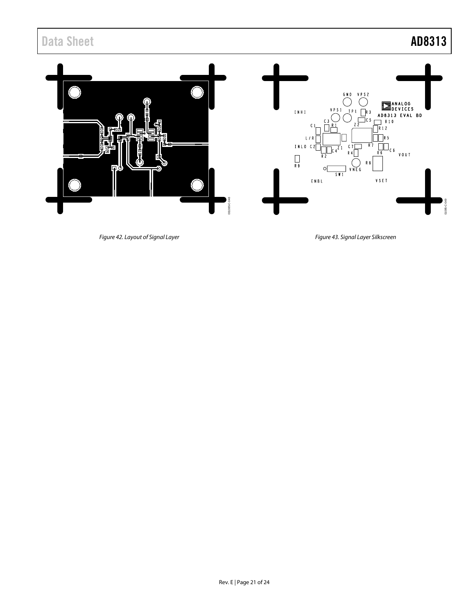

<span id="page-20-0"></span>*Figure 42. Layout of Signal Layer* 

<span id="page-20-1"></span>*Figure 43. Signal Layer Silkscreen*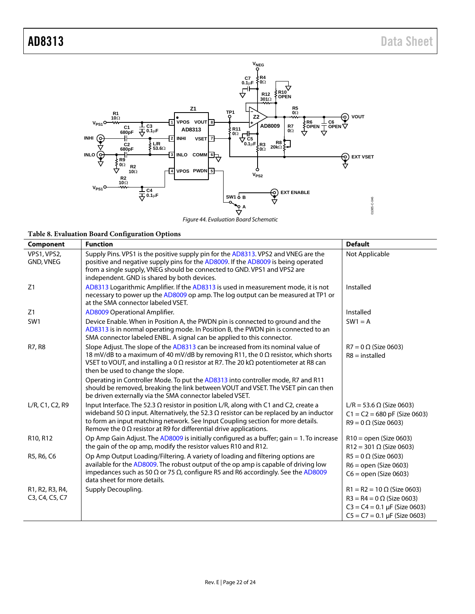

*Figure 44. Evaluation Board Schematic*

<span id="page-21-0"></span>**Table 8. Evaluation Board Configuration Options**

| Component                                                                             | <b>Function</b>                                                                                                                                                                                                                                                                                                                                                     | <b>Default</b>                                                                                                                                  |
|---------------------------------------------------------------------------------------|---------------------------------------------------------------------------------------------------------------------------------------------------------------------------------------------------------------------------------------------------------------------------------------------------------------------------------------------------------------------|-------------------------------------------------------------------------------------------------------------------------------------------------|
| VPS1, VPS2,<br>GND, VNEG                                                              | Supply Pins. VPS1 is the positive supply pin for the AD8313. VPS2 and VNEG are the<br>positive and negative supply pins for the AD8009. If the AD8009 is being operated<br>from a single supply, VNEG should be connected to GND. VPS1 and VPS2 are<br>independent. GND is shared by both devices.                                                                  | Not Applicable                                                                                                                                  |
| Z1                                                                                    | AD8313 Logarithmic Amplifier. If the AD8313 is used in measurement mode, it is not<br>necessary to power up the AD8009 op amp. The log output can be measured at TP1 or<br>at the SMA connector labeled VSET.                                                                                                                                                       | Installed                                                                                                                                       |
| Z1                                                                                    | AD8009 Operational Amplifier.                                                                                                                                                                                                                                                                                                                                       | Installed                                                                                                                                       |
| SW1                                                                                   | Device Enable. When in Position A, the PWDN pin is connected to ground and the<br>AD8313 is in normal operating mode. In Position B, the PWDN pin is connected to an<br>SMA connector labeled ENBL. A signal can be applied to this connector.                                                                                                                      | $SW1 = A$                                                                                                                                       |
| R7, R8                                                                                | Slope Adjust. The slope of the AD8313 can be increased from its nominal value of<br>18 mV/dB to a maximum of 40 mV/dB by removing R11, the 0 $\Omega$ resistor, which shorts<br>VSET to VOUT, and installing a 0 $\Omega$ resistor at R7. The 20 k $\Omega$ potentiometer at R8 can<br>then be used to change the slope.                                            | $R7 = 0 \Omega$ (Size 0603)<br>$R8$ = installed                                                                                                 |
|                                                                                       | Operating in Controller Mode. To put the AD8313 into controller mode, R7 and R11<br>should be removed, breaking the link between VOUT and VSET. The VSET pin can then<br>be driven externally via the SMA connector labeled VSET.                                                                                                                                   |                                                                                                                                                 |
| L/R, C1, C2, R9                                                                       | Input Interface. The 52.3 $\Omega$ resistor in position L/R, along with C1 and C2, create a<br>wideband 50 $\Omega$ input. Alternatively, the 52.3 $\Omega$ resistor can be replaced by an inductor<br>to form an input matching network. See Input Coupling section for more details.<br>Remove the 0 $\Omega$ resistor at R9 for differential drive applications. | L/R = 53.6 $\Omega$ (Size 0603)<br>$C1 = C2 = 680$ pF (Size 0603)<br>$R9 = 0 \Omega$ (Size 0603)                                                |
| R <sub>10</sub> , R <sub>12</sub>                                                     | Op Amp Gain Adjust. The AD8009 is initially configured as a buffer; gain $= 1$ . To increase<br>the gain of the op amp, modify the resistor values R10 and R12.                                                                                                                                                                                                     | $R10 =$ open (Size 0603)<br>$R12 = 301 \Omega$ (Size 0603)                                                                                      |
| R5, R6, C6                                                                            | Op Amp Output Loading/Filtering. A variety of loading and filtering options are<br>available for the AD8009. The robust output of the op amp is capable of driving low<br>impedances such as 50 $\Omega$ or 75 $\Omega$ , configure R5 and R6 accordingly. See the AD8009<br>data sheet for more details.                                                           | $R5 = 0 \Omega$ (Size 0603)<br>$R6 =$ open (Size 0603)<br>$C6 = open (Size 0603)$                                                               |
| R <sub>1</sub> , R <sub>2</sub> , R <sub>3</sub> , R <sub>4</sub> ,<br>C3, C4, C5, C7 | Supply Decoupling.                                                                                                                                                                                                                                                                                                                                                  | $R1 = R2 = 10 \Omega$ (Size 0603)<br>$R3 = R4 = 0 \Omega$ (Size 0603)<br>$C3 = C4 = 0.1 \mu F$ (Size 0603)<br>$C5 = C7 = 0.1 \mu F$ (Size 0603) |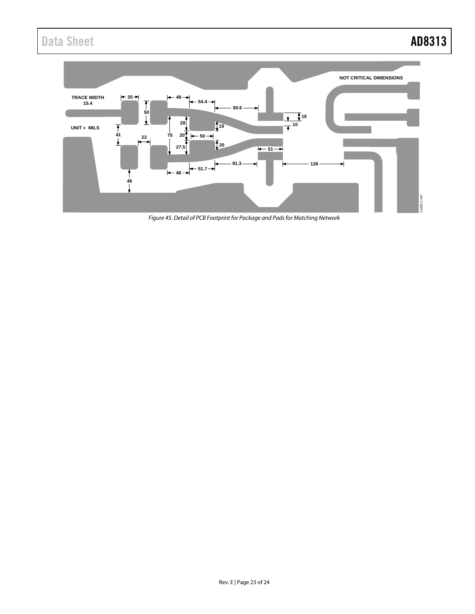

<span id="page-22-0"></span>*Figure 45. Detail of PCB Footprint for Package and Pads for Matching Network*